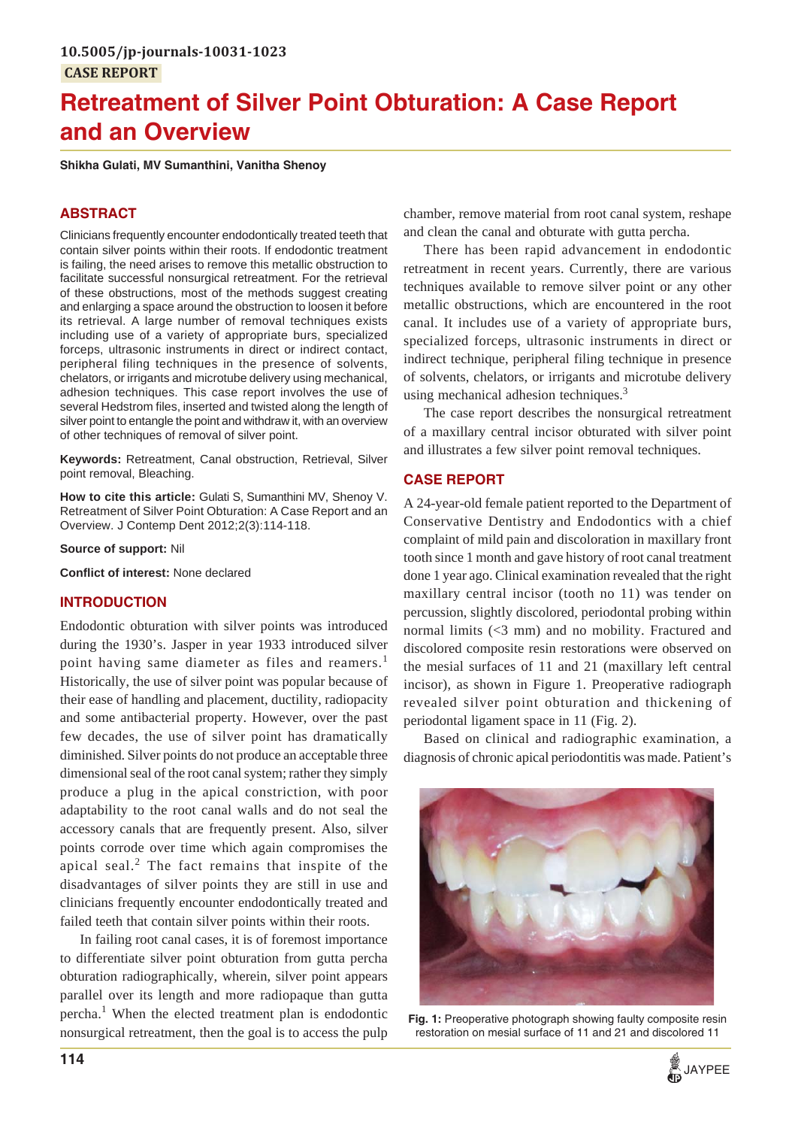# **Retreatment of Silver Point Obturation: A Case Report and an Overview**

**Shikha Gulati, MV Sumanthini, Vanitha Shenoy**

# **ABSTRACT**

Clinicians frequently encounter endodontically treated teeth that contain silver points within their roots. If endodontic treatment is failing, the need arises to remove this metallic obstruction to facilitate successful nonsurgical retreatment. For the retrieval of these obstructions, most of the methods suggest creating and enlarging a space around the obstruction to loosen it before its retrieval. A large number of removal techniques exists including use of a variety of appropriate burs, specialized forceps, ultrasonic instruments in direct or indirect contact, peripheral filing techniques in the presence of solvents, chelators, or irrigants and microtube delivery using mechanical, adhesion techniques. This case report involves the use of several Hedstrom files, inserted and twisted along the length of silver point to entangle the point and withdraw it, with an overview of other techniques of removal of silver point.

**Keywords:** Retreatment, Canal obstruction, Retrieval, Silver point removal, Bleaching.

**How to cite this article:** Gulati S, Sumanthini MV, Shenoy V. Retreatment of Silver Point Obturation: A Case Report and an Overview. J Contemp Dent 2012;2(3):114-118.

**Source of support:** Nil

**Conflict of interest:** None declared

## **INTRODUCTION**

Endodontic obturation with silver points was introduced during the 1930's. Jasper in year 1933 introduced silver point having same diameter as files and reamers.<sup>1</sup> Historically, the use of silver point was popular because of their ease of handling and placement, ductility, radiopacity and some antibacterial property. However, over the past few decades, the use of silver point has dramatically diminished. Silver points do not produce an acceptable three dimensional seal of the root canal system; rather they simply produce a plug in the apical constriction, with poor adaptability to the root canal walls and do not seal the accessory canals that are frequently present. Also, silver points corrode over time which again compromises the apical seal.<sup>2</sup> The fact remains that inspite of the disadvantages of silver points they are still in use and clinicians frequently encounter endodontically treated and failed teeth that contain silver points within their roots.

In failing root canal cases, it is of foremost importance to differentiate silver point obturation from gutta percha obturation radiographically, wherein, silver point appears parallel over its length and more radiopaque than gutta percha.<sup>1</sup> When the elected treatment plan is endodontic nonsurgical retreatment, then the goal is to access the pulp chamber, remove material from root canal system, reshape and clean the canal and obturate with gutta percha.

There has been rapid advancement in endodontic retreatment in recent years. Currently, there are various techniques available to remove silver point or any other metallic obstructions, which are encountered in the root canal. It includes use of a variety of appropriate burs, specialized forceps, ultrasonic instruments in direct or indirect technique, peripheral filing technique in presence of solvents, chelators, or irrigants and microtube delivery using mechanical adhesion techniques.<sup>3</sup>

The case report describes the nonsurgical retreatment of a maxillary central incisor obturated with silver point and illustrates a few silver point removal techniques.

# **CASE REPORT**

A 24-year-old female patient reported to the Department of Conservative Dentistry and Endodontics with a chief complaint of mild pain and discoloration in maxillary front tooth since 1 month and gave history of root canal treatment done 1 year ago. Clinical examination revealed that the right maxillary central incisor (tooth no 11) was tender on percussion, slightly discolored, periodontal probing within normal limits (<3 mm) and no mobility. Fractured and discolored composite resin restorations were observed on the mesial surfaces of 11 and 21 (maxillary left central incisor), as shown in Figure 1. Preoperative radiograph revealed silver point obturation and thickening of periodontal ligament space in 11 (Fig. 2).

Based on clinical and radiographic examination, a diagnosis of chronic apical periodontitis was made. Patient's



**Fig. 1:** Preoperative photograph showing faulty composite resin restoration on mesial surface of 11 and 21 and discolored 11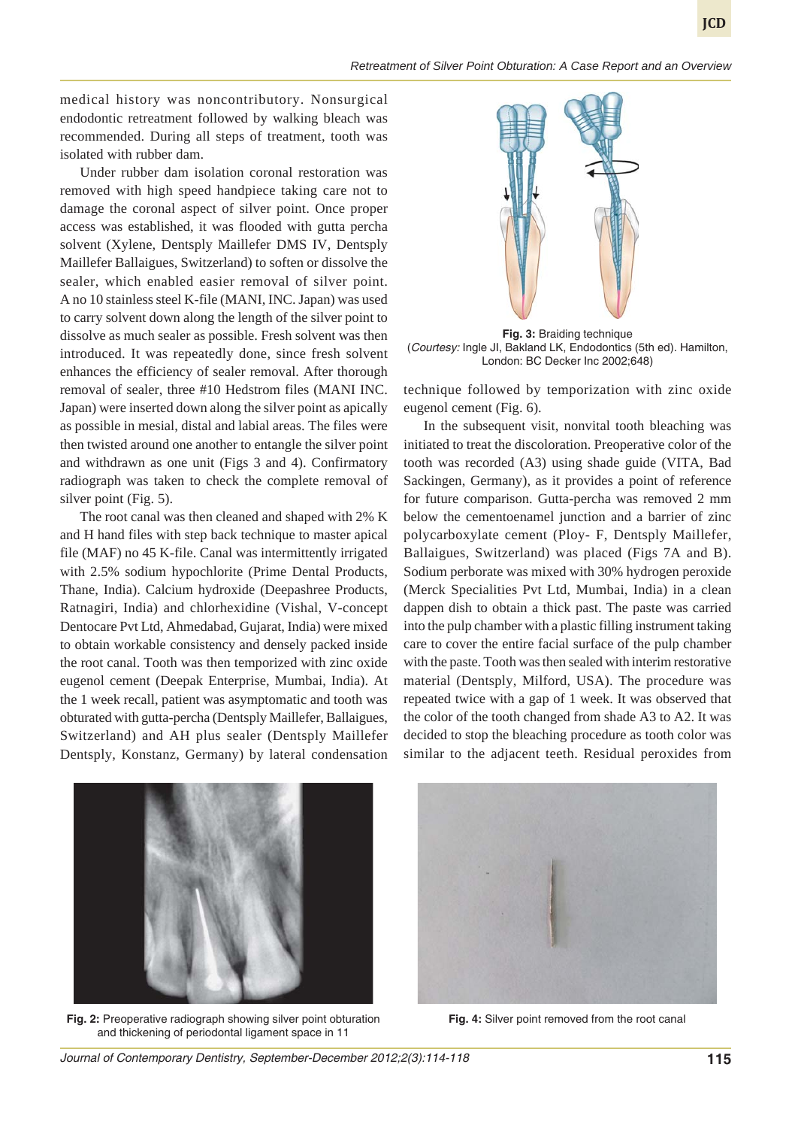#### *Retreatment of Silver Point Obturation: A Case Report and an Overview*

**JCD**

medical history was noncontributory. Nonsurgical endodontic retreatment followed by walking bleach was recommended. During all steps of treatment, tooth was isolated with rubber dam.

Under rubber dam isolation coronal restoration was removed with high speed handpiece taking care not to damage the coronal aspect of silver point. Once proper access was established, it was flooded with gutta percha solvent (Xylene, Dentsply Maillefer DMS IV, Dentsply Maillefer Ballaigues, Switzerland) to soften or dissolve the sealer, which enabled easier removal of silver point. A no 10 stainless steel K-file (MANI, INC. Japan) was used to carry solvent down along the length of the silver point to dissolve as much sealer as possible. Fresh solvent was then introduced. It was repeatedly done, since fresh solvent enhances the efficiency of sealer removal. After thorough removal of sealer, three #10 Hedstrom files (MANI INC. Japan) were inserted down along the silver point as apically as possible in mesial, distal and labial areas. The files were then twisted around one another to entangle the silver point and withdrawn as one unit (Figs 3 and 4). Confirmatory radiograph was taken to check the complete removal of silver point (Fig. 5).

The root canal was then cleaned and shaped with 2% K and H hand files with step back technique to master apical file (MAF) no 45 K-file. Canal was intermittently irrigated with 2.5% sodium hypochlorite (Prime Dental Products, Thane, India). Calcium hydroxide (Deepashree Products, Ratnagiri, India) and chlorhexidine (Vishal, V-concept Dentocare Pvt Ltd, Ahmedabad, Gujarat, India) were mixed to obtain workable consistency and densely packed inside the root canal. Tooth was then temporized with zinc oxide eugenol cement (Deepak Enterprise, Mumbai, India). At the 1 week recall, patient was asymptomatic and tooth was obturated with gutta-percha (Dentsply Maillefer, Ballaigues, Switzerland) and AH plus sealer (Dentsply Maillefer Dentsply, Konstanz, Germany) by lateral condensation



**Fig. 3:** Braiding technique (*Courtesy:* Ingle JI, Bakland LK, Endodontics (5th ed). Hamilton, London: BC Decker Inc 2002;648)

technique followed by temporization with zinc oxide eugenol cement (Fig. 6).

In the subsequent visit, nonvital tooth bleaching was initiated to treat the discoloration. Preoperative color of the tooth was recorded (A3) using shade guide (VITA, Bad Sackingen, Germany), as it provides a point of reference for future comparison. Gutta-percha was removed 2 mm below the cementoenamel junction and a barrier of zinc polycarboxylate cement (Ploy- F, Dentsply Maillefer, Ballaigues, Switzerland) was placed (Figs 7A and B). Sodium perborate was mixed with 30% hydrogen peroxide (Merck Specialities Pvt Ltd, Mumbai, India) in a clean dappen dish to obtain a thick past. The paste was carried into the pulp chamber with a plastic filling instrument taking care to cover the entire facial surface of the pulp chamber with the paste. Tooth was then sealed with interim restorative material (Dentsply, Milford, USA). The procedure was repeated twice with a gap of 1 week. It was observed that the color of the tooth changed from shade A3 to A2. It was decided to stop the bleaching procedure as tooth color was similar to the adjacent teeth. Residual peroxides from



**Fig. 2:** Preoperative radiograph showing silver point obturation and thickening of periodontal ligament space in 11



**Fig. 4:** Silver point removed from the root canal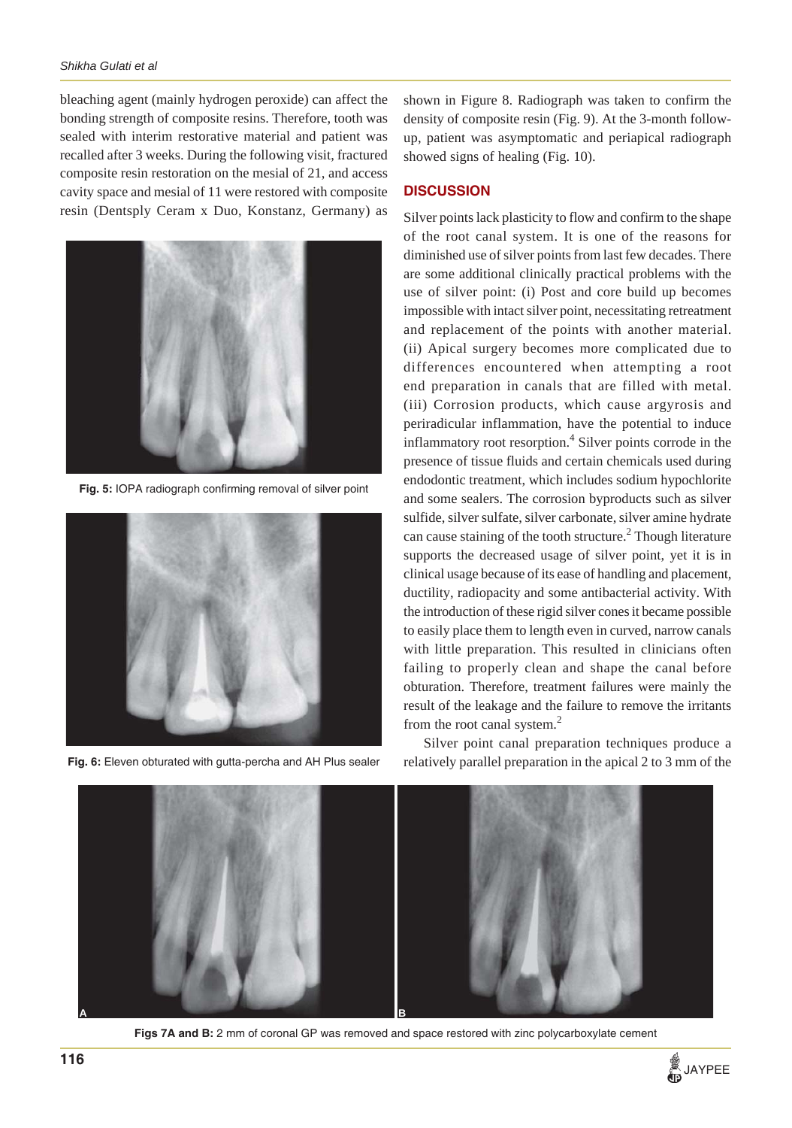#### *Shikha Gulati et al*

bleaching agent (mainly hydrogen peroxide) can affect the bonding strength of composite resins. Therefore, tooth was sealed with interim restorative material and patient was recalled after 3 weeks. During the following visit, fractured composite resin restoration on the mesial of 21, and access cavity space and mesial of 11 were restored with composite resin (Dentsply Ceram x Duo, Konstanz, Germany) as



**Fig. 5:** IOPA radiograph confirming removal of silver point



**Fig. 6:** Eleven obturated with gutta-percha and AH Plus sealer

shown in Figure 8. Radiograph was taken to confirm the density of composite resin (Fig. 9). At the 3-month followup, patient was asymptomatic and periapical radiograph showed signs of healing (Fig. 10).

### **DISCUSSION**

Silver points lack plasticity to flow and confirm to the shape of the root canal system. It is one of the reasons for diminished use of silver points from last few decades. There are some additional clinically practical problems with the use of silver point: (i) Post and core build up becomes impossible with intact silver point, necessitating retreatment and replacement of the points with another material. (ii) Apical surgery becomes more complicated due to differences encountered when attempting a root end preparation in canals that are filled with metal. (iii) Corrosion products, which cause argyrosis and periradicular inflammation, have the potential to induce inflammatory root resorption.<sup>4</sup> Silver points corrode in the presence of tissue fluids and certain chemicals used during endodontic treatment, which includes sodium hypochlorite and some sealers. The corrosion byproducts such as silver sulfide, silver sulfate, silver carbonate, silver amine hydrate can cause staining of the tooth structure.<sup>2</sup> Though literature supports the decreased usage of silver point, yet it is in clinical usage because of its ease of handling and placement, ductility, radiopacity and some antibacterial activity. With the introduction of these rigid silver cones it became possible to easily place them to length even in curved, narrow canals with little preparation. This resulted in clinicians often failing to properly clean and shape the canal before obturation. Therefore, treatment failures were mainly the result of the leakage and the failure to remove the irritants from the root canal system.<sup>2</sup>

Silver point canal preparation techniques produce a relatively parallel preparation in the apical 2 to 3 mm of the



**Figs 7A and B:** 2 mm of coronal GP was removed and space restored with zinc polycarboxylate cement

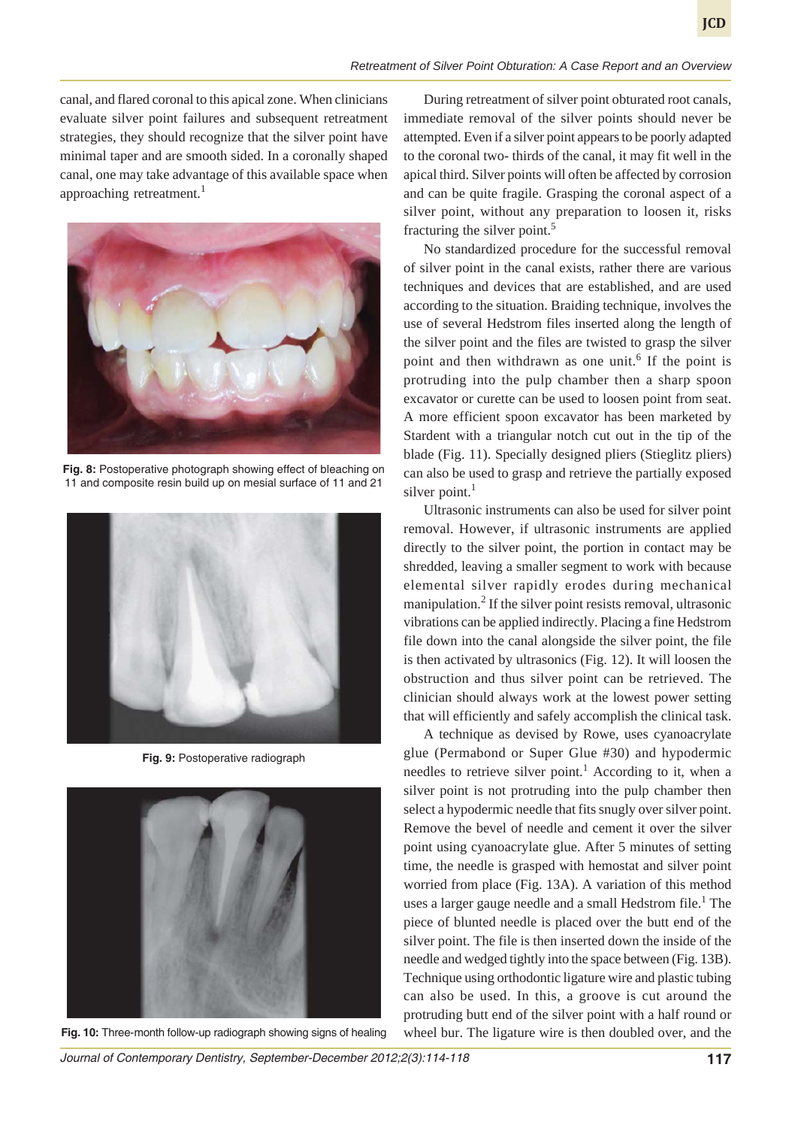canal, and flared coronal to this apical zone. When clinicians evaluate silver point failures and subsequent retreatment strategies, they should recognize that the silver point have minimal taper and are smooth sided. In a coronally shaped canal, one may take advantage of this available space when approaching retreatment.<sup>1</sup>



**Fig. 8:** Postoperative photograph showing effect of bleaching on 11 and composite resin build up on mesial surface of 11 and 21



**Fig. 9:** Postoperative radiograph



**Fig. 10:** Three-month follow-up radiograph showing signs of healing

During retreatment of silver point obturated root canals, immediate removal of the silver points should never be attempted. Even if a silver point appears to be poorly adapted to the coronal two- thirds of the canal, it may fit well in the apical third. Silver points will often be affected by corrosion and can be quite fragile. Grasping the coronal aspect of a silver point, without any preparation to loosen it, risks fracturing the silver point.<sup>5</sup>

No standardized procedure for the successful removal of silver point in the canal exists, rather there are various techniques and devices that are established, and are used according to the situation. Braiding technique, involves the use of several Hedstrom files inserted along the length of the silver point and the files are twisted to grasp the silver point and then withdrawn as one unit.<sup>6</sup> If the point is protruding into the pulp chamber then a sharp spoon excavator or curette can be used to loosen point from seat. A more efficient spoon excavator has been marketed by Stardent with a triangular notch cut out in the tip of the blade (Fig. 11). Specially designed pliers (Stieglitz pliers) can also be used to grasp and retrieve the partially exposed silver point. $<sup>1</sup>$ </sup>

Ultrasonic instruments can also be used for silver point removal. However, if ultrasonic instruments are applied directly to the silver point, the portion in contact may be shredded, leaving a smaller segment to work with because elemental silver rapidly erodes during mechanical manipulation.<sup>2</sup> If the silver point resists removal, ultrasonic vibrations can be applied indirectly. Placing a fine Hedstrom file down into the canal alongside the silver point, the file is then activated by ultrasonics (Fig. 12). It will loosen the obstruction and thus silver point can be retrieved. The clinician should always work at the lowest power setting that will efficiently and safely accomplish the clinical task.

A technique as devised by Rowe, uses cyanoacrylate glue (Permabond or Super Glue #30) and hypodermic needles to retrieve silver point.<sup>1</sup> According to it, when a silver point is not protruding into the pulp chamber then select a hypodermic needle that fits snugly over silver point. Remove the bevel of needle and cement it over the silver point using cyanoacrylate glue. After 5 minutes of setting time, the needle is grasped with hemostat and silver point worried from place (Fig. 13A). A variation of this method uses a larger gauge needle and a small Hedstrom file.<sup>1</sup> The piece of blunted needle is placed over the butt end of the silver point. The file is then inserted down the inside of the needle and wedged tightly into the space between (Fig. 13B). Technique using orthodontic ligature wire and plastic tubing can also be used. In this, a groove is cut around the protruding butt end of the silver point with a half round or wheel bur. The ligature wire is then doubled over, and the

*Journal of Contemporary Dentistry, September-December 2012;2(3):114-118* **117**